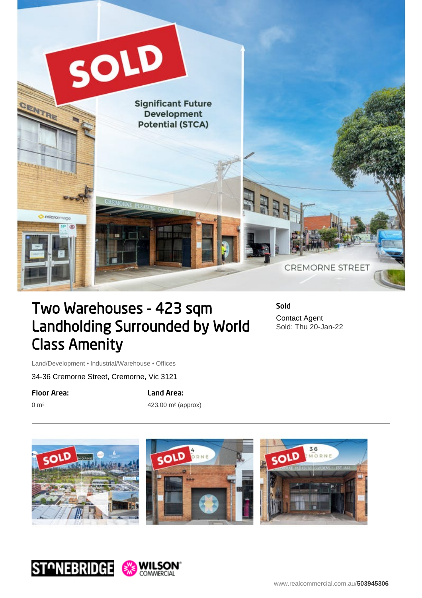

## Two Warehouses - 423 sqm Landholding Surrounded by World Class Amenity

Sold Contact Agent Sold: Thu 20-Jan-22

Land/Development • Industrial/Warehouse • Offices

34-36 Cremorne Street, Cremorne, Vic 3121

Floor Area:

0 m²

Land Area:

423.00 m² (approx)